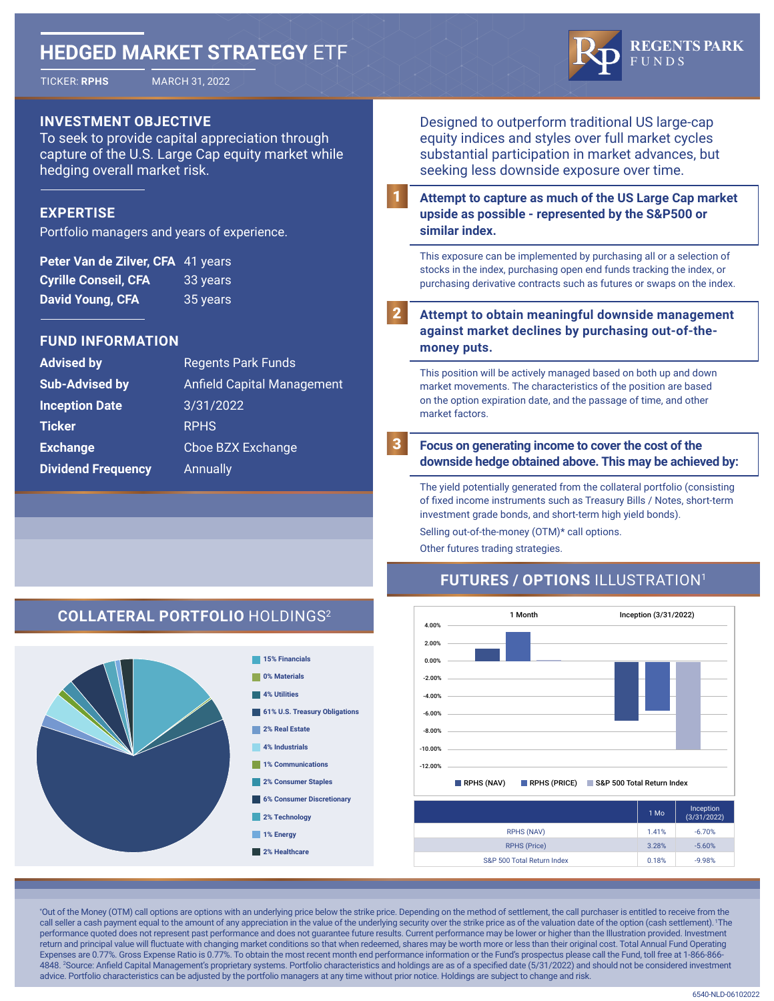# **HEDGED MARKET STRATEGY** ETF



TICKER: **RPHS** MARCH 31, 2022



### **INVESTMENT OBJECTIVE**

To seek to provide capital appreciation through capture of the U.S. Large Cap equity market while hedging overall market risk.

### **EXPERTISE**

Portfolio managers and years of experience.

| Peter Van de Zilver, CFA 41 years |          |
|-----------------------------------|----------|
| <b>Cyrille Conseil, CFA</b>       | 33 years |
| <b>David Young, CFA</b>           | 35 years |

### **FUND INFORMATION**

| <b>Advised by</b>         | <b>Regents Park Funds</b>         |
|---------------------------|-----------------------------------|
| <b>Sub-Advised by</b>     | <b>Anfield Capital Management</b> |
| <b>Inception Date</b>     | 3/31/2022                         |
| Ticker                    | <b>RPHS</b>                       |
| <b>Exchange</b>           | Cboe BZX Exchange                 |
| <b>Dividend Frequency</b> | Annually                          |
|                           |                                   |

Designed to outperform traditional US large-cap equity indices and styles over full market cycles substantial participation in market advances, but seeking less downside exposure over time.

**Attempt to capture as much of the US Large Cap market upside as possible - represented by the S&P500 or similar index.** 1

This exposure can be implemented by purchasing all or a selection of stocks in the index, purchasing open end funds tracking the index, or purchasing derivative contracts such as futures or swaps on the index.

**Attempt to obtain meaningful downside management against market declines by purchasing out-of-themoney puts.** 2

This position will be actively managed based on both up and down market movements. The characteristics of the position are based on the option expiration date, and the passage of time, and other market factors.

**Focus on generating income to cover the cost of the downside hedge obtained above. This may be achieved by:**

The yield potentially generated from the collateral portfolio (consisting of fixed income instruments such as Treasury Bills / Notes, short-term investment grade bonds, and short-term high yield bonds). Selling out-of-the-money (OTM)\* call options.

Other futures trading strategies.

## **FUTURES / OPTIONS** ILLUSTRATION<sup>1</sup>



|                            | 1 Mo  | Inception<br>(3/31/2022) |
|----------------------------|-------|--------------------------|
| <b>RPHS (NAV)</b>          | 1.41% | $-6.70%$                 |
| <b>RPHS (Price)</b>        | 3.28% | $-5.60%$                 |
| S&P 500 Total Return Index | 0.18% | $-9.98%$                 |

\* Out of the Money (OTM) call options are options with an underlying price below the strike price. Depending on the method of settlement, the call purchaser is entitled to receive from the call seller a cash payment equal to the amount of any appreciation in the value of the underlying security over the strike price as of the valuation date of the option (cash settlement). The performance quoted does not represent past performance and does not guarantee future results. Current performance may be lower or higher than the Illustration provided. Investment return and principal value will fluctuate with changing market conditions so that when redeemed, shares may be worth more or less than their original cost. Total Annual Fund Operating Expenses are 0.77%. Gross Expense Ratio is 0.77%. To obtain the most recent month end performance information or the Fund's prospectus please call the Fund, toll free at 1-866-866- 4848. <sup>2</sup> Source: Anfield Capital Management's proprietary systems. Portfolio characteristics and holdings are as of a specified date (5/31/2022) and should not be considered investment advice. Portfolio characteristics can be adjusted by the portfolio managers at any time without prior notice. Holdings are subject to change and risk.

3

### **COLLATERAL PORTFOLIO** HOLDINGS<sup>2</sup>



### **0% Materials 4% Utilities 61% U.S. Treasury Obligations 2% Real Estate 4% Industrials 1% Communications 2% Consumer Staples 6% Consumer Discretionary**

**15% Financials**

- **2% Technology**
- **1% Energy**
- **2% Healthcare**

6540-NLD-06102022